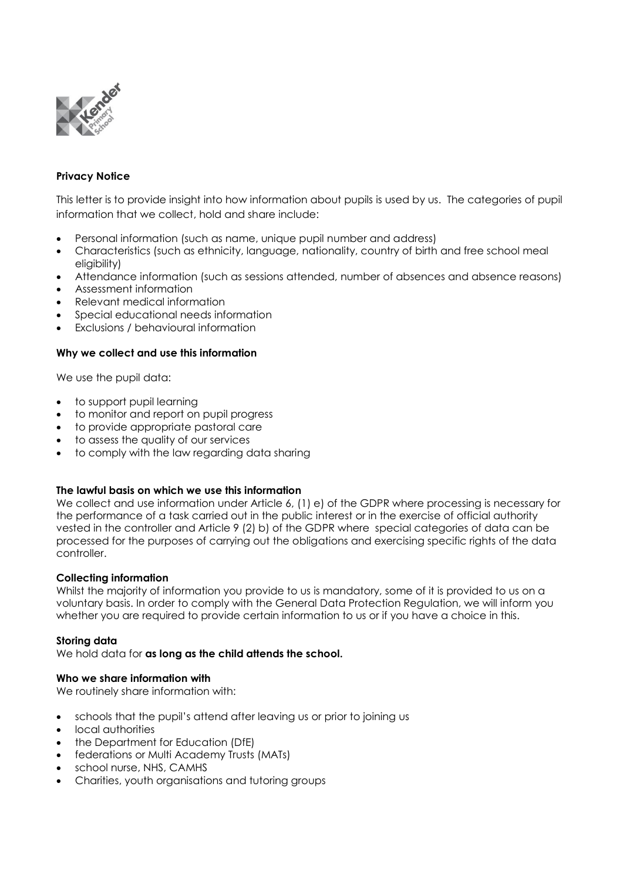

## **Privacy Notice**

This letter is to provide insight into how information about pupils is used by us. The categories of pupil information that we collect, hold and share include:

- Personal information (such as name, unique pupil number and address)
- Characteristics (such as ethnicity, language, nationality, country of birth and free school meal eligibility)
- Attendance information (such as sessions attended, number of absences and absence reasons)
- Assessment information
- Relevant medical information
- Special educational needs information
- Exclusions / behavioural information

## **Why we collect and use this information**

We use the pupil data:

- to support pupil learning
- to monitor and report on pupil progress
- to provide appropriate pastoral care
- to assess the quality of our services
- to comply with the law regarding data sharing

## **The lawful basis on which we use this information**

We collect and use information under Article 6, (1) e) of the GDPR where processing is necessary for the performance of a task carried out in the public interest or in the exercise of official authority vested in the controller and Article 9 (2) b) of the GDPR where special categories of data can be processed for the purposes of carrying out the obligations and exercising specific rights of the data controller.

## **Collecting information**

Whilst the majority of information you provide to us is mandatory, some of it is provided to us on a voluntary basis. In order to comply with the General Data Protection Regulation, we will inform you whether you are required to provide certain information to us or if you have a choice in this.

## **Storing data**

We hold data for **as long as the child attends the school.** 

## **Who we share information with**

We routinely share information with:

- schools that the pupil's attend after leaving us or prior to joining us
- local authorities
- the Department for Education (DfE)
- federations or Multi Academy Trusts (MATs)
- school nurse, NHS, CAMHS
- Charities, youth organisations and tutoring groups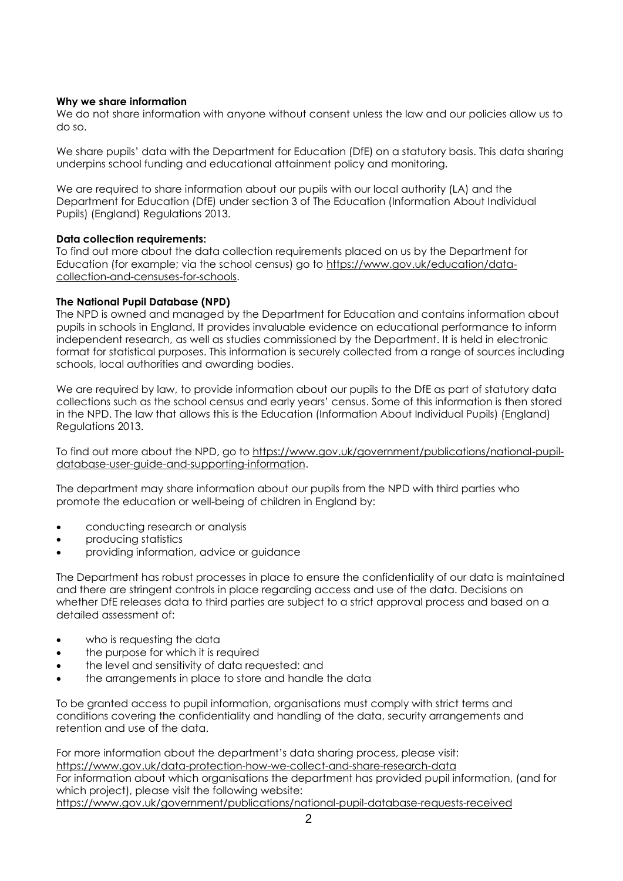## **Why we share information**

We do not share information with anyone without consent unless the law and our policies allow us to do so.

We share pupils' data with the Department for Education (DfE) on a statutory basis. This data sharing underpins school funding and educational attainment policy and monitoring.

We are required to share information about our pupils with our local authority (LA) and the Department for Education (DfE) under section 3 of The Education (Information About Individual Pupils) (England) Regulations 2013.

## **Data collection requirements:**

To find out more about the data collection requirements placed on us by the Department for Education (for example; via the school census) go to [https://www.gov.uk/education/data](https://www.gov.uk/education/data-collection-and-censuses-for-schools)[collection-and-censuses-for-schools.](https://www.gov.uk/education/data-collection-and-censuses-for-schools)

## **The National Pupil Database (NPD)**

The NPD is owned and managed by the Department for Education and contains information about pupils in schools in England. It provides invaluable evidence on educational performance to inform independent research, as well as studies commissioned by the Department. It is held in electronic format for statistical purposes. This information is securely collected from a range of sources including schools, local authorities and awarding bodies.

We are required by law, to provide information about our pupils to the DfE as part of statutory data collections such as the school census and early years' census. Some of this information is then stored in the NPD. The law that allows this is the Education (Information About Individual Pupils) (England) Regulations 2013.

To find out more about the NPD, go to [https://www.gov.uk/government/publications/national-pupil](https://www.gov.uk/government/publications/national-pupil-database-user-guide-and-supporting-information)[database-user-guide-and-supporting-information.](https://www.gov.uk/government/publications/national-pupil-database-user-guide-and-supporting-information)

The department may share information about our pupils from the NPD with third parties who promote the education or well-being of children in England by:

- conducting research or analysis
- producing statistics
- providing information, advice or guidance

The Department has robust processes in place to ensure the confidentiality of our data is maintained and there are stringent controls in place regarding access and use of the data. Decisions on whether DfE releases data to third parties are subject to a strict approval process and based on a detailed assessment of:

- who is requesting the data
- the purpose for which it is required
- the level and sensitivity of data requested: and
- the arrangements in place to store and handle the data

To be granted access to pupil information, organisations must comply with strict terms and conditions covering the confidentiality and handling of the data, security arrangements and retention and use of the data.

For more information about the department's data sharing process, please visit: <https://www.gov.uk/data-protection-how-we-collect-and-share-research-data> For information about which organisations the department has provided pupil information, (and for which project), please visit the following website: <https://www.gov.uk/government/publications/national-pupil-database-requests-received>